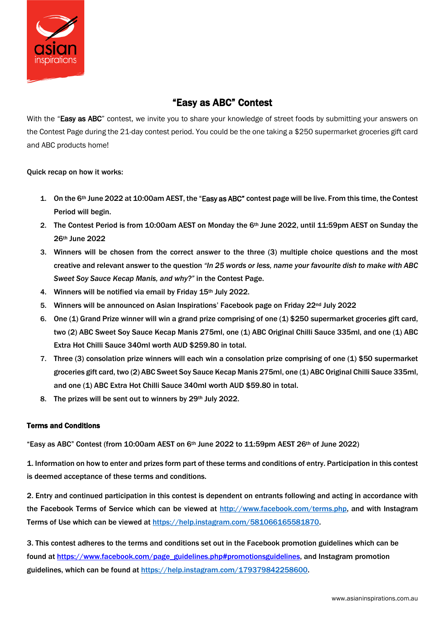

# "Easy as ABC" Contest

With the "Easy as ABC" contest, we invite you to share your knowledge of street foods by submitting your answers on the Contest Page during the 21-day contest period. You could be the one taking a \$250 supermarket groceries gift card and ABC products home!

## Quick recap on how it works:

- 1. On the 6th June 2022 at 10:00am AEST, the "Easy as ABC" contest page will be live. From this time, the Contest Period will begin.
- 2. The Contest Period is from 10:00am AEST on Monday the 6<sup>th</sup> June 2022, until 11:59pm AEST on Sunday the 26th June 2022
- 3. Winners will be chosen from the correct answer to the three (3) multiple choice questions and the most creative and relevant answer to the question *"In 25 words or less, name your favourite dish to make with ABC Sweet Soy Sauce Kecap Manis, and why?"* in the Contest Page.
- 4. Winners will be notified via email by Friday 15th July 2022.
- 5. Winners will be announced on Asian Inspirations' Facebook page on Friday 22<sup>nd</sup> July 2022
- 6. One (1) Grand Prize winner will win a grand prize comprising of one (1) \$250 supermarket groceries gift card, two (2) ABC Sweet Soy Sauce Kecap Manis 275ml, one (1) ABC Original Chilli Sauce 335ml, and one (1) ABC Extra Hot Chilli Sauce 340ml worth AUD \$259.80 in total.
- 7. Three (3) consolation prize winners will each win a consolation prize comprising of one (1) \$50 supermarket groceries gift card, two (2) ABC Sweet Soy Sauce Kecap Manis 275ml, one (1) ABC Original Chilli Sauce 335ml, and one (1) ABC Extra Hot Chilli Sauce 340ml worth AUD \$59.80 in total.
- 8. The prizes will be sent out to winners by 29<sup>th</sup> July 2022.

#### Terms and Conditions

"Easy as ABC" Contest (from 10:00am AEST on 6th June 2022 to 11:59pm AEST 26th of June 2022)

1. Information on how to enter and prizes form part of these terms and conditions of entry. Participation in this contest is deemed acceptance of these terms and conditions.

2. Entry and continued participation in this contest is dependent on entrants following and acting in accordance with the Facebook Terms of Service which can be viewed at [http://www.facebook.com/terms.php,](http://www.facebook.com/terms.php) and with Instagram Terms of Use which can be viewed at [https://help.instagram.com/581066165581870.](https://help.instagram.com/581066165581870)

3. This contest adheres to the terms and conditions set out in the Facebook promotion guidelines which can be found at [https://www.facebook.com/page\\_guidelines.php#promotionsguidelines,](https://www.facebook.com/page_guidelines.php#promotionsguidelines) and Instagram promotion guidelines, which can be found a[t https://help.instagram.com/179379842258600.](https://help.instagram.com/179379842258600)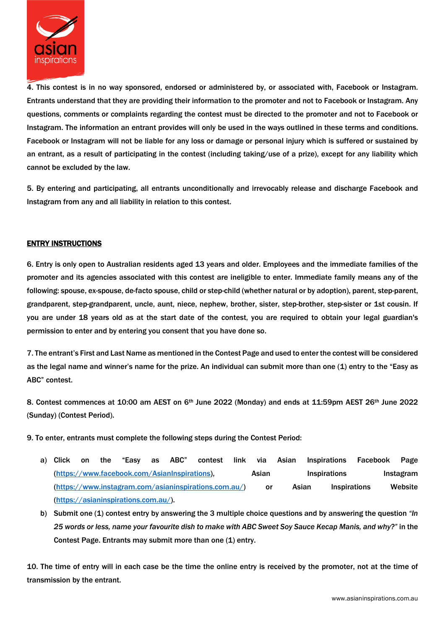

4. This contest is in no way sponsored, endorsed or administered by, or associated with, Facebook or Instagram. Entrants understand that they are providing their information to the promoter and not to Facebook or Instagram. Any questions, comments or complaints regarding the contest must be directed to the promoter and not to Facebook or Instagram. The information an entrant provides will only be used in the ways outlined in these terms and conditions. Facebook or Instagram will not be liable for any loss or damage or personal injury which is suffered or sustained by an entrant, as a result of participating in the contest (including taking/use of a prize), except for any liability which cannot be excluded by the law.

5. By entering and participating, all entrants unconditionally and irrevocably release and discharge Facebook and Instagram from any and all liability in relation to this contest.

## ENTRY INSTRUCTIONS

6. Entry is only open to Australian residents aged 13 years and older. Employees and the immediate families of the promoter and its agencies associated with this contest are ineligible to enter. Immediate family means any of the following: spouse, ex-spouse, de-facto spouse, child or step-child (whether natural or by adoption), parent, step-parent, grandparent, step-grandparent, uncle, aunt, niece, nephew, brother, sister, step-brother, step-sister or 1st cousin. If you are under 18 years old as at the start date of the contest, you are required to obtain your legal guardian's permission to enter and by entering you consent that you have done so.

7. The entrant's First and Last Name as mentioned in the Contest Page and used to enter the contest will be considered as the legal name and winner's name for the prize. An individual can submit more than one (1) entry to the "Easy as ABC" contest.

8. Contest commences at 10:00 am AEST on 6<sup>th</sup> June 2022 (Monday) and ends at 11:59pm AEST 26<sup>th</sup> June 2022 (Sunday) (Contest Period).

9. To enter, entrants must complete the following steps during the Contest Period:

- a) Click on the "Easy as ABC" contest link via Asian Inspirations Facebook Page [\(https://www.facebook.com/AsianInspirations\)](https://www.facebook.com/AsianInspirations), Asian Inspirations Instagram [\(https://www.instagram.com/asianinspirations.com.au/\)](https://www.instagram.com/asianinspirations.com.au/) or Asian Inspirations Website [\(https://asianinspirations.com.au/\)](https://asianinspirations.com.au/).
- b) Submit one (1) contest entry by answering the 3 multiple choice questions and by answering the question *"In 25 words or less, name your favourite dish to make with ABC Sweet Soy Sauce Kecap Manis, and why?"* in the Contest Page. Entrants may submit more than one (1) entry.

10. The time of entry will in each case be the time the online entry is received by the promoter, not at the time of transmission by the entrant.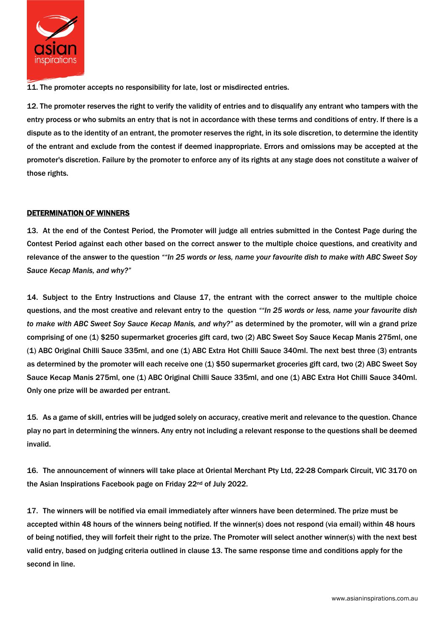

11. The promoter accepts no responsibility for late, lost or misdirected entries.

12. The promoter reserves the right to verify the validity of entries and to disqualify any entrant who tampers with the entry process or who submits an entry that is not in accordance with these terms and conditions of entry. If there is a dispute as to the identity of an entrant, the promoter reserves the right, in its sole discretion, to determine the identity of the entrant and exclude from the contest if deemed inappropriate. Errors and omissions may be accepted at the promoter's discretion. Failure by the promoter to enforce any of its rights at any stage does not constitute a waiver of those rights.

## DETERMINATION OF WINNERS

13. At the end of the Contest Period, the Promoter will judge all entries submitted in the Contest Page during the Contest Period against each other based on the correct answer to the multiple choice questions, and creativity and relevance of the answer to the question *""In 25 words or less, name your favourite dish to make with ABC Sweet Soy Sauce Kecap Manis, and why?"*

14. Subject to the Entry Instructions and Clause 17, the entrant with the correct answer to the multiple choice questions, and the most creative and relevant entry to the question *""In 25 words or less, name your favourite dish to make with ABC Sweet Soy Sauce Kecap Manis, and why?"* as determined by the promoter, will win a grand prize comprising of one (1) \$250 supermarket groceries gift card, two (2) ABC Sweet Soy Sauce Kecap Manis 275ml, one (1) ABC Original Chilli Sauce 335ml, and one (1) ABC Extra Hot Chilli Sauce 340ml. The next best three (3) entrants as determined by the promoter will each receive one (1) \$50 supermarket groceries gift card, two (2) ABC Sweet Soy Sauce Kecap Manis 275ml, one (1) ABC Original Chilli Sauce 335ml, and one (1) ABC Extra Hot Chilli Sauce 340ml. Only one prize will be awarded per entrant.

15. As a game of skill, entries will be judged solely on accuracy, creative merit and relevance to the question. Chance play no part in determining the winners. Any entry not including a relevant response to the questions shall be deemed invalid.

16. The announcement of winners will take place at Oriental Merchant Pty Ltd, 22-28 Compark Circuit, VIC 3170 on the Asian Inspirations Facebook page on Friday 22nd of July 2022.

17. The winners will be notified via email immediately after winners have been determined. The prize must be accepted within 48 hours of the winners being notified. If the winner(s) does not respond (via email) within 48 hours of being notified, they will forfeit their right to the prize. The Promoter will select another winner(s) with the next best valid entry, based on judging criteria outlined in clause 13. The same response time and conditions apply for the second in line.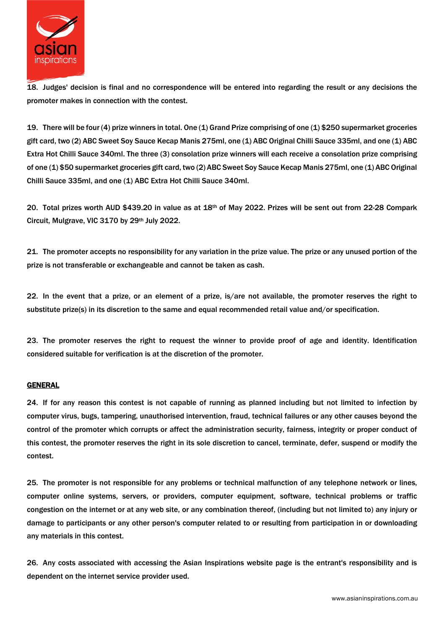

18. Judges' decision is final and no correspondence will be entered into regarding the result or any decisions the promoter makes in connection with the contest.

19. There will be four (4) prize winners in total. One (1) Grand Prize comprising of one (1) \$250 supermarket groceries gift card, two (2) ABC Sweet Soy Sauce Kecap Manis 275ml, one (1) ABC Original Chilli Sauce 335ml, and one (1) ABC Extra Hot Chilli Sauce 340ml. The three (3) consolation prize winners will each receive a consolation prize comprising of one (1) \$50 supermarket groceries gift card, two (2) ABC Sweet Soy Sauce Kecap Manis 275ml, one (1) ABC Original Chilli Sauce 335ml, and one (1) ABC Extra Hot Chilli Sauce 340ml.

20. Total prizes worth AUD \$439.20 in value as at 18th of May 2022. Prizes will be sent out from 22-28 Compark Circuit, Mulgrave, VIC 3170 by 29th July 2022.

21. The promoter accepts no responsibility for any variation in the prize value. The prize or any unused portion of the prize is not transferable or exchangeable and cannot be taken as cash.

22. In the event that a prize, or an element of a prize, is/are not available, the promoter reserves the right to substitute prize(s) in its discretion to the same and equal recommended retail value and/or specification.

23. The promoter reserves the right to request the winner to provide proof of age and identity. Identification considered suitable for verification is at the discretion of the promoter.

#### GENERAL

24. If for any reason this contest is not capable of running as planned including but not limited to infection by computer virus, bugs, tampering, unauthorised intervention, fraud, technical failures or any other causes beyond the control of the promoter which corrupts or affect the administration security, fairness, integrity or proper conduct of this contest, the promoter reserves the right in its sole discretion to cancel, terminate, defer, suspend or modify the contest.

25. The promoter is not responsible for any problems or technical malfunction of any telephone network or lines, computer online systems, servers, or providers, computer equipment, software, technical problems or traffic congestion on the internet or at any web site, or any combination thereof, (including but not limited to) any injury or damage to participants or any other person's computer related to or resulting from participation in or downloading any materials in this contest.

26. Any costs associated with accessing the Asian Inspirations website page is the entrant's responsibility and is dependent on the internet service provider used.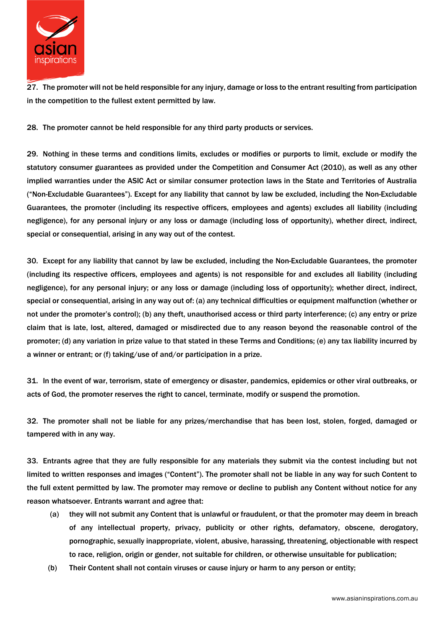

27. The promoter will not be held responsible for any injury, damage or loss to the entrant resulting from participation in the competition to the fullest extent permitted by law.

28. The promoter cannot be held responsible for any third party products or services.

29. Nothing in these terms and conditions limits, excludes or modifies or purports to limit, exclude or modify the statutory consumer guarantees as provided under the Competition and Consumer Act (2010), as well as any other implied warranties under the ASIC Act or similar consumer protection laws in the State and Territories of Australia ("Non-Excludable Guarantees"). Except for any liability that cannot by law be excluded, including the Non-Excludable Guarantees, the promoter (including its respective officers, employees and agents) excludes all liability (including negligence), for any personal injury or any loss or damage (including loss of opportunity), whether direct, indirect, special or consequential, arising in any way out of the contest.

30. Except for any liability that cannot by law be excluded, including the Non-Excludable Guarantees, the promoter (including its respective officers, employees and agents) is not responsible for and excludes all liability (including negligence), for any personal injury; or any loss or damage (including loss of opportunity); whether direct, indirect, special or consequential, arising in any way out of: (a) any technical difficulties or equipment malfunction (whether or not under the promoter's control); (b) any theft, unauthorised access or third party interference; (c) any entry or prize claim that is late, lost, altered, damaged or misdirected due to any reason beyond the reasonable control of the promoter; (d) any variation in prize value to that stated in these Terms and Conditions; (e) any tax liability incurred by a winner or entrant; or (f) taking/use of and/or participation in a prize.

31. In the event of war, terrorism, state of emergency or disaster, pandemics, epidemics or other viral outbreaks, or acts of God, the promoter reserves the right to cancel, terminate, modify or suspend the promotion.

32. The promoter shall not be liable for any prizes/merchandise that has been lost, stolen, forged, damaged or tampered with in any way.

33. Entrants agree that they are fully responsible for any materials they submit via the contest including but not limited to written responses and images ("Content"). The promoter shall not be liable in any way for such Content to the full extent permitted by law. The promoter may remove or decline to publish any Content without notice for any reason whatsoever. Entrants warrant and agree that:

- (a) they will not submit any Content that is unlawful or fraudulent, or that the promoter may deem in breach of any intellectual property, privacy, publicity or other rights, defamatory, obscene, derogatory, pornographic, sexually inappropriate, violent, abusive, harassing, threatening, objectionable with respect to race, religion, origin or gender, not suitable for children, or otherwise unsuitable for publication;
- (b) Their Content shall not contain viruses or cause injury or harm to any person or entity;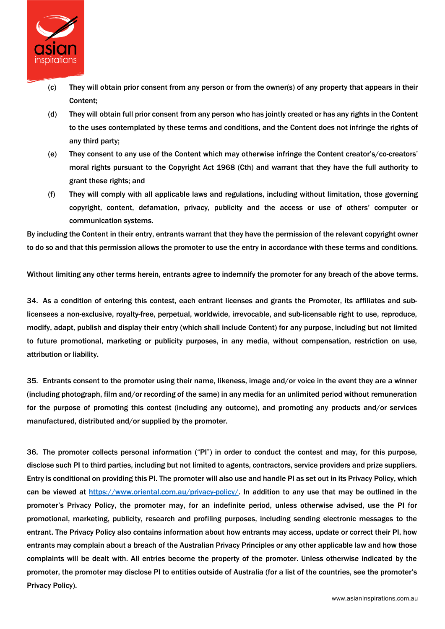

- (c) They will obtain prior consent from any person or from the owner(s) of any property that appears in their Content;
- (d) They will obtain full prior consent from any person who has jointly created or has any rights in the Content to the uses contemplated by these terms and conditions, and the Content does not infringe the rights of any third party;
- (e) They consent to any use of the Content which may otherwise infringe the Content creator's/co-creators' moral rights pursuant to the Copyright Act 1968 (Cth) and warrant that they have the full authority to grant these rights; and
- (f) They will comply with all applicable laws and regulations, including without limitation, those governing copyright, content, defamation, privacy, publicity and the access or use of others' computer or communication systems.

By including the Content in their entry, entrants warrant that they have the permission of the relevant copyright owner to do so and that this permission allows the promoter to use the entry in accordance with these terms and conditions.

Without limiting any other terms herein, entrants agree to indemnify the promoter for any breach of the above terms.

34. As a condition of entering this contest, each entrant licenses and grants the Promoter, its affiliates and sublicensees a non-exclusive, royalty-free, perpetual, worldwide, irrevocable, and sub-licensable right to use, reproduce, modify, adapt, publish and display their entry (which shall include Content) for any purpose, including but not limited to future promotional, marketing or publicity purposes, in any media, without compensation, restriction on use, attribution or liability.

35. Entrants consent to the promoter using their name, likeness, image and/or voice in the event they are a winner (including photograph, film and/or recording of the same) in any media for an unlimited period without remuneration for the purpose of promoting this contest (including any outcome), and promoting any products and/or services manufactured, distributed and/or supplied by the promoter.

36. The promoter collects personal information ("PI") in order to conduct the contest and may, for this purpose, disclose such PI to third parties, including but not limited to agents, contractors, service providers and prize suppliers. Entry is conditional on providing this PI. The promoter will also use and handle PI as set out in its Privacy Policy, which can be viewed at [https://www.oriental.com.au/privacy-policy/.](https://www.oriental.com.au/privacy-policy/) In addition to any use that may be outlined in the promoter's Privacy Policy, the promoter may, for an indefinite period, unless otherwise advised, use the PI for promotional, marketing, publicity, research and profiling purposes, including sending electronic messages to the entrant. The Privacy Policy also contains information about how entrants may access, update or correct their PI, how entrants may complain about a breach of the Australian Privacy Principles or any other applicable law and how those complaints will be dealt with. All entries become the property of the promoter. Unless otherwise indicated by the promoter, the promoter may disclose PI to entities outside of Australia (for a list of the countries, see the promoter's Privacy Policy).